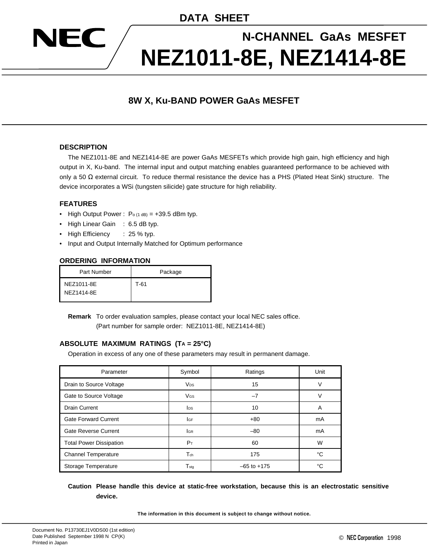**DATA SHEET**

# **N-CHANNEL GaAs MESFET NEZ1011-8E, NEZ1414-8E**

## **8W X, Ku-BAND POWER GaAs MESFET**

#### **DESCRIPTION**

EC

 $\sqrt{2}$ 

The NEZ1011-8E and NEZ1414-8E are power GaAs MESFETs which provide high gain, high efficiency and high output in X, Ku-band. The internal input and output matching enables guaranteed performance to be achieved with only a 50  $\Omega$  external circuit. To reduce thermal resistance the device has a PHS (Plated Heat Sink) structure. The device incorporates a WSi (tungsten silicide) gate structure for high reliability.

#### **FEATURES**

- High Output Power :  $P_0$  (1 dB) = +39.5 dBm typ.
- High Linear Gain : 6.5 dB typ.
- High Efficiency : 25 % typ.
- Input and Output Internally Matched for Optimum performance

#### **ORDERING INFORMATION**

| Part Number              | Package |
|--------------------------|---------|
| NEZ1011-8E<br>NEZ1414-8E | T-61    |

**Remark** To order evaluation samples, please contact your local NEC sales office.

(Part number for sample order: NEZ1011-8E, NEZ1414-8E)

#### **ABSOLUTE MAXIMUM RATINGS (TA = 25°C)**

Operation in excess of any one of these parameters may result in permanent damage.

| Parameter                      | Symbol                      | Ratings         | Unit |
|--------------------------------|-----------------------------|-----------------|------|
| Drain to Source Voltage        | <b>V<sub>DS</sub></b>       | 15              | ν    |
| Gate to Source Voltage         | VGS                         | $-7$            | ν    |
| <b>Drain Current</b>           | <b>l</b> <sub>DS</sub>      | 10              | A    |
| <b>Gate Forward Current</b>    | lgf                         | $+80$           | mA   |
| Gate Reverse Current           | <b>I</b> GR                 | $-80$           | mA   |
| <b>Total Power Dissipation</b> | $P_T$                       | 60              | W    |
| <b>Channel Temperature</b>     | $T_{ch}$                    | 175             | °C   |
| Storage Temperature            | $\mathsf{T}_{\mathsf{std}}$ | $-65$ to $+175$ | °C   |

#### **Caution Please handle this device at static-free workstation, because this is an electrostatic sensitive device.**

**The information in this document is subject to change without notice.**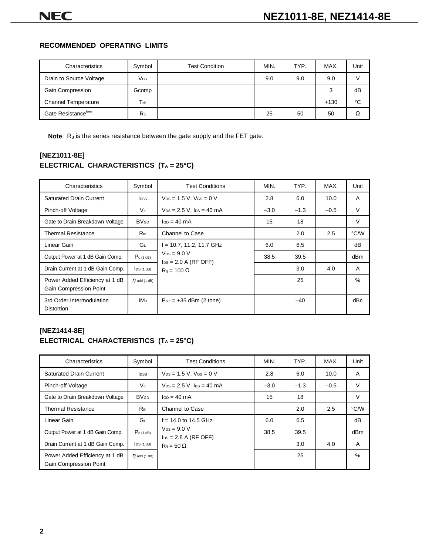#### **RECOMMENDED OPERATING LIMITS**

| Characteristics                 | Symbol          | <b>Test Condition</b> | MIN. | TYP. | MAX.   | Unit |
|---------------------------------|-----------------|-----------------------|------|------|--------|------|
| Drain to Source Voltage         | V <sub>DS</sub> |                       | 9.0  | 9.0  | 9.0    |      |
| Gain Compression                | Gcomp           |                       |      |      | 3      | dB   |
| <b>Channel Temperature</b>      | $T_{ch}$        |                       |      |      | $+130$ | °C   |
| Gate Resistance <sup>Note</sup> | R <sub>g</sub>  |                       | 25   | 50   | 50     | Ω    |

**Note** Rg is the series resistance between the gate supply and the FET gate.

## **[NEZ1011-8E] ELECTRICAL CHARACTERISTICS (TA = 25°C)**

| Characteristics                                          | Symbol                 | <b>Test Conditions</b>                                    | MIN.   | TYP.   | MAX.   | Unit            |
|----------------------------------------------------------|------------------------|-----------------------------------------------------------|--------|--------|--------|-----------------|
| <b>Saturated Drain Current</b>                           | <b>l</b> pss           | $V_{DS} = 1.5 V$ , $V_{GS} = 0 V$                         | 2.8    | 6.0    | 10.0   | A               |
| Pinch-off Voltage                                        | $V_{p}$                | $V_{DS} = 2.5 V$ , $I_{DS} = 40 mA$                       | $-3.0$ | $-1.3$ | $-0.5$ | V               |
| Gate to Drain Breakdown Voltage                          | <b>BV<sub>GD</sub></b> | $ISD = 40 \text{ mA}$                                     | 15     | 18     |        | $\vee$          |
| Thermal Resistance                                       | $R_{th}$               | Channel to Case                                           |        | 2.0    | 2.5    | °C/W            |
| Linear Gain                                              | GL                     | $f = 10.7, 11.2, 11.7$ GHz                                | 6.0    | 6.5    |        | dB              |
| Output Power at 1 dB Gain Comp.                          | $Po$ (1 dB)            | $V_{DS} = 9.0 V$<br>$\text{los} = 2.0 \text{ A (RF OFF)}$ | 38.5   | 39.5   |        | dB <sub>m</sub> |
| Drain Current at 1 dB Gain Comp.                         | DS(1 dB)               | $R_q = 100 \Omega$                                        |        | 3.0    | 4.0    | A               |
| Power Added Efficiency at 1 dB<br>Gain Compression Point | $\eta$ add (1 dB)      |                                                           |        | 25     |        | $\%$            |
| 3rd Order Intermodulation<br><b>Distortion</b>           | IM <sub>3</sub>        | $P_{\text{out}} = +35$ dBm (2 tone)                       |        | $-40$  |        | dBc             |

## **[NEZ1414-8E] ELECTRICAL CHARACTERISTICS (TA = 25°C)**

| Characteristics                                                 | Symbol                 | <b>Test Conditions</b>                                    | MIN.   | TYP.   | MAX.   | Unit   |
|-----------------------------------------------------------------|------------------------|-----------------------------------------------------------|--------|--------|--------|--------|
| <b>Saturated Drain Current</b>                                  | <b>l</b> pss           | $V_{DS} = 1.5 V$ , $V_{GS} = 0 V$                         | 2.8    | 6.0    | 10.0   | A      |
| Pinch-off Voltage                                               | $V_{p}$                | $V_{DS} = 2.5 V$ , $I_{DS} = 40 mA$                       | $-3.0$ | $-1.3$ | $-0.5$ | $\vee$ |
| Gate to Drain Breakdown Voltage                                 | <b>BV<sub>GD</sub></b> | $I_{GD} = 40 \text{ mA}$                                  | 15     | 18     |        | V      |
| <b>Thermal Resistance</b>                                       | $R_{th}$               | Channel to Case                                           |        | 2.0    | 2.5    | °C/W   |
| Linear Gain                                                     | G∟                     | $f = 14.0$ to 14.5 GHz                                    | 6.0    | 6.5    |        | dB     |
| Output Power at 1 dB Gain Comp.                                 | $Po$ (1 dB)            | $V_{DS} = 9.0 V$<br>$\text{los} = 2.8 \text{ A (RF OFF)}$ | 38.5   | 39.5   |        | dBm    |
| Drain Current at 1 dB Gain Comp.                                | DS(1 dB)               | $R_q = 50 \Omega$                                         |        | 3.0    | 4.0    | A      |
| Power Added Efficiency at 1 dB<br><b>Gain Compression Point</b> | $\eta$ add (1 dB)      |                                                           |        | 25     |        | $\%$   |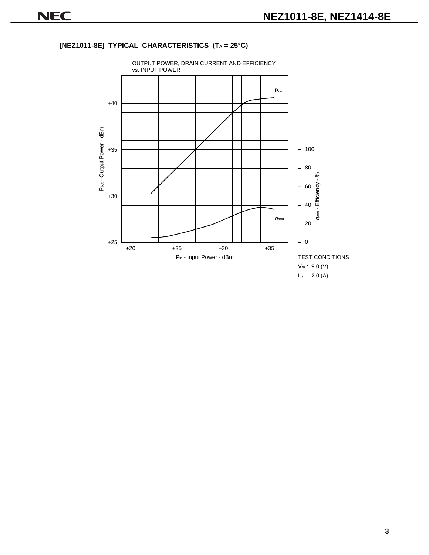## **[NEZ1011-8E] TYPICAL CHARACTERISTICS (TA = 25°C)**

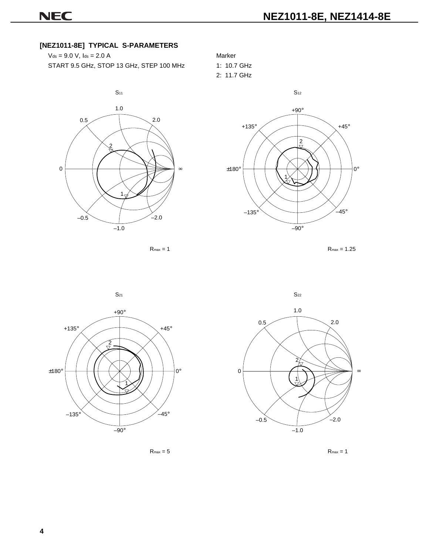## **[NEZ1011-8E] TYPICAL S-PARAMETERS**

| $V_{ds} = 9.0 V$ , $I_{ds} = 2.0 A$      | Marker |
|------------------------------------------|--------|
| START 9.5 GHz, STOP 13 GHz, STEP 100 MHz | 1:10.7 |





1: 10.7 GHz 2: 11.7 GHz







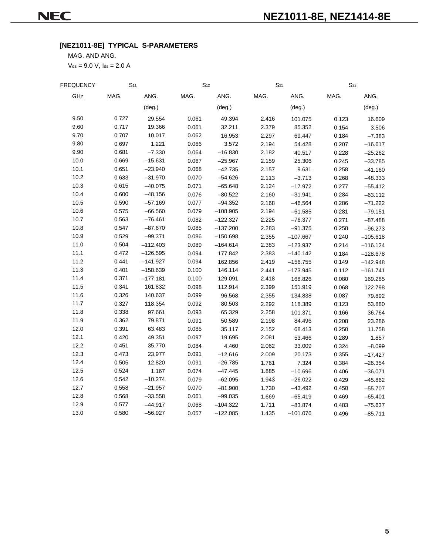## **[NEZ1011-8E] TYPICAL S-PARAMETERS**

MAG. AND ANG.

 $V_{ds} = 9.0 V$ ,  $I_{ds} = 2.0 A$ 

| FREQUENCY | S <sub>11</sub> |                 | $S_{12}$ |                 | $S_{21}$ |                 | $S_{22}$ |                 |
|-----------|-----------------|-----------------|----------|-----------------|----------|-----------------|----------|-----------------|
| GHz       | MAG.            | ANG.            | MAG.     | ANG.            | MAG.     | ANG.            | MAG.     | ANG.            |
|           |                 | $(\text{deg.})$ |          | $(\text{deg.})$ |          | $(\text{deg.})$ |          | $(\text{deg.})$ |
| 9.50      | 0.727           | 29.554          | 0.061    | 49.394          | 2.416    | 101.075         | 0.123    | 16.609          |
| 9.60      | 0.717           | 19.366          | 0.061    | 32.211          | 2.379    | 85.352          | 0.154    | 3.506           |
| 9.70      | 0.707           | 10.017          | 0.062    | 16.953          | 2.297    | 69.447          | 0.184    | $-7.383$        |
| 9.80      | 0.697           | 1.221           | 0.066    | 3.572           | 2.194    | 54.428          | 0.207    | $-16.617$       |
| 9.90      | 0.681           | $-7.330$        | 0.064    | $-16.830$       | 2.182    | 40.517          | 0.228    | $-25.262$       |
| 10.0      | 0.669           | $-15.631$       | 0.067    | $-25.967$       | 2.159    | 25.306          | 0.245    | $-33.785$       |
| 10.1      | 0.651           | $-23.940$       | 0.068    | $-42.735$       | 2.157    | 9.631           | 0.258    | $-41.160$       |
| 10.2      | 0.633           | $-31.970$       | 0.070    | $-54.626$       | 2.113    | $-3.713$        | 0.268    | $-48.333$       |
| 10.3      | 0.615           | $-40.075$       | 0.071    | $-65.648$       | 2.124    | $-17.972$       | 0.277    | $-55.412$       |
| 10.4      | 0.600           | $-48.156$       | 0.076    | $-80.522$       | 2.160    | $-31.941$       | 0.284    | $-63.112$       |
| 10.5      | 0.590           | $-57.169$       | 0.077    | $-94.352$       | 2.168    | $-46.564$       | 0.286    | $-71.222$       |
| 10.6      | 0.575           | $-66.560$       | 0.079    | $-108.905$      | 2.194    | $-61.585$       | 0.281    | $-79.151$       |
| 10.7      | 0.563           | $-76.461$       | 0.082    | $-122.327$      | 2.225    | $-76.377$       | 0.271    | $-87.488$       |
| 10.8      | 0.547           | $-87.670$       | 0.085    | $-137.200$      | 2.283    | $-91.375$       | 0.258    | $-96.273$       |
| 10.9      | 0.529           | $-99.371$       | 0.086    | $-150.698$      | 2.355    | $-107.667$      | 0.240    | $-105.618$      |
| 11.0      | 0.504           | $-112.403$      | 0.089    | $-164.614$      | 2.383    | $-123.937$      | 0.214    | $-116.124$      |
| 11.1      | 0.472           | $-126.595$      | 0.094    | 177.842         | 2.383    | $-140.142$      | 0.184    | $-128.678$      |
| 11.2      | 0.441           | $-141.927$      | 0.094    | 162.856         | 2.419    | $-156.755$      | 0.149    | $-142.948$      |
| 11.3      | 0.401           | $-158.639$      | 0.100    | 146.114         | 2.441    | $-173.945$      | 0.112    | $-161.741$      |
| 11.4      | 0.371           | $-177.181$      | 0.100    | 129.091         | 2.418    | 168.826         | 0.080    | 169.285         |
| 11.5      | 0.341           | 161.832         | 0.098    | 112.914         | 2.399    | 151.919         | 0.068    | 122.798         |
| 11.6      | 0.326           | 140.637         | 0.099    | 96.568          | 2.355    | 134.838         | 0.087    | 79.892          |
| 11.7      | 0.327           | 118.354         | 0.092    | 80.503          | 2.292    | 118.389         | 0.123    | 53.880          |
| 11.8      | 0.338           | 97.661          | 0.093    | 65.329          | 2.258    | 101.371         | 0.166    | 36.764          |
| 11.9      | 0.362           | 79.871          | 0.091    | 50.589          | 2.198    | 84.496          | 0.208    | 23.286          |
| 12.0      | 0.391           | 63.483          | 0.085    | 35.117          | 2.152    | 68.413          | 0.250    | 11.758          |
| 12.1      | 0.420           | 49.351          | 0.097    | 19.695          | 2.081    | 53.466          | 0.289    | 1.857           |
| 12.2      | 0.451           | 35.770          | 0.084    | 4.460           | 2.062    | 33.009          | 0.324    | $-8.099$        |
| 12.3      | 0.473           | 23.977          | 0.091    | $-12.616$       | 2.009    | 20.173          | 0.355    | $-17.427$       |
| 12.4      | 0.505           | 12.820          | 0.091    | $-26.785$       | 1.761    | 7.324           | 0.384    | $-26.354$       |
| 12.5      | 0.524           | 1.167           | 0.074    | $-47.445$       | 1.885    | $-10.696$       | 0.406    | $-36.071$       |
| 12.6      | 0.542           | $-10.274$       | 0.079    | $-62.095$       | 1.943    | $-26.022$       | 0.429    | $-45.862$       |
| 12.7      | 0.558           | $-21.957$       | 0.070    | $-81.900$       | 1.730    | $-43.492$       | 0.450    | $-55.707$       |
| 12.8      | 0.568           | $-33.558$       | 0.061    | $-99.035$       | 1.669    | $-65.419$       | 0.469    | $-65.401$       |
| 12.9      | 0.577           | -44.917         | 0.068    | $-104.322$      | 1.711    | $-83.874$       | 0.483    | $-75.637$       |
| 13.0      | 0.580           | $-56.927$       | 0.057    | $-122.085$      | 1.435    | $-101.076$      | 0.496    | $-85.711$       |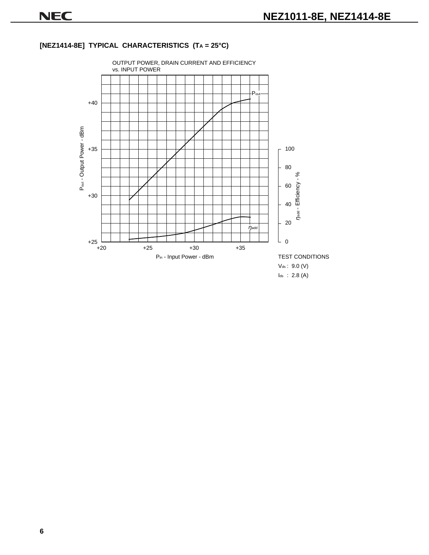## OUTPUT POWER, DRAIN CURRENT AND EFFICIENCY vs. INPUT POWER  $\frac{1}{P_\mathsf{out}}$  $+40$ Pout - Output Power - dBm Pout - Output Power - dBm 100 +35 80 add - Efficiency - % 60 +30 40  $\eta$ add -  $\blacksquare$ 20  $\eta$ add L.  $\overline{0}$  $+25$   $-$ <br> $+20$ +20 +25 +30 +35 P<sub>in</sub> - Input Power - dBm TEST CONDITIONS Vds : 9.0 (V) Ids : 2.8 (A)

## **[NEZ1414-8E] TYPICAL CHARACTERISTICS (TA = 25°C)**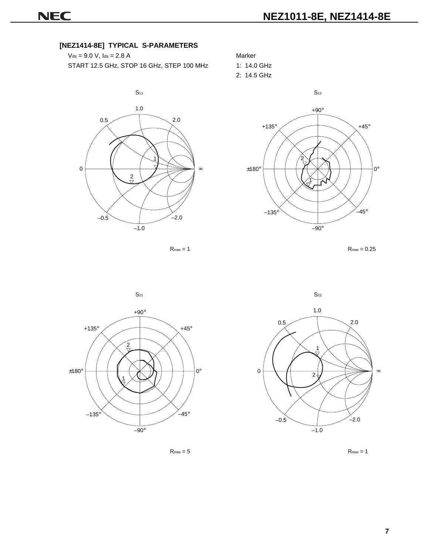+90°

 $+135^\circ$   $+45^\circ$ 

#### **[NEZ1414-8E] TYPICAL S-PARAMETERS**

 $V_{ds} = 9.0 V$ ,  $I_{ds} = 2.8 A$  Marker START 12.5 GHz, STOP 16 GHz, STEP 100 MHz 1: 14.0 GHz



 $\pm 180^\circ$   $\leftarrow$   $\leftarrow$   $\leftarrow$   $\leftarrow$   $\leftarrow$   $\leftarrow$   $\leftarrow$   $\leftarrow$   $\leftarrow$   $\leftarrow$   $\leftarrow$   $\leftarrow$   $\leftarrow$   $\leftarrow$   $\leftarrow$   $\leftarrow$   $\leftarrow$   $\leftarrow$   $\leftarrow$   $\leftarrow$   $\leftarrow$   $\leftarrow$   $\leftarrow$   $\leftarrow$   $\leftarrow$   $\leftarrow$   $\leftarrow$   $\leftarrow$   $\leftarrow$   $\leftarrow$   $\leftarrow$   $\leftarrow$   $\leftarrow$   $\leftarrow$   $\leftarrow$   $-135^\circ$ –90°  $-45^\circ$ 2

2: 14.5 GHz









**7**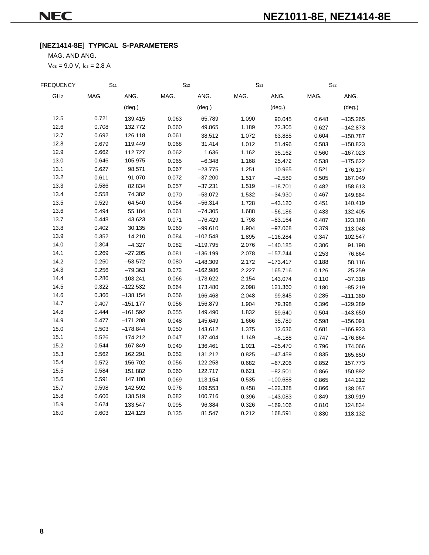## **[NEZ1414-8E] TYPICAL S-PARAMETERS**

MAG. AND ANG.

 $V_{ds} = 9.0 V$ ,  $I_{ds} = 2.8 A$ 

| <b>FREQUENCY</b> | S <sub>11</sub> |                 | S <sub>12</sub> |                 | $S_{21}$ |                 | $S_{22}$ |                 |
|------------------|-----------------|-----------------|-----------------|-----------------|----------|-----------------|----------|-----------------|
| GHz              | MAG.            | ANG.            | MAG.            | ANG.            | MAG.     | ANG.            | MAG.     | ANG.            |
|                  |                 | $(\text{deg.})$ |                 | $(\text{deg.})$ |          | $(\text{deg.})$ |          | $(\text{deg.})$ |
| 12.5             | 0.721           | 139.415         | 0.063           | 65.789          | 1.090    | 90.045          | 0.648    | $-135.265$      |
| 12.6             | 0.708           | 132.772         | 0.060           | 49.865          | 1.189    | 72.305          | 0.627    | $-142.873$      |
| 12.7             | 0.692           | 126.118         | 0.061           | 38.512          | 1.072    | 63.885          | 0.604    | $-150.787$      |
| 12.8             | 0.679           | 119.449         | 0.068           | 31.414          | 1.012    | 51.496          | 0.583    | $-158.823$      |
| 12.9             | 0.662           | 112.727         | 0.062           | 1.636           | 1.162    | 35.162          | 0.560    | $-167.023$      |
| 13.0             | 0.646           | 105.975         | 0.065           | $-6.348$        | 1.168    | 25.472          | 0.538    | $-175.622$      |
| 13.1             | 0.627           | 98.571          | 0.067           | $-23.775$       | 1.251    | 10.965          | 0.521    | 176.137         |
| 13.2             | 0.611           | 91.070          | 0.072           | $-37.200$       | 1.517    | $-2.589$        | 0.505    | 167.049         |
| 13.3             | 0.586           | 82.834          | 0.057           | $-37.231$       | 1.519    | $-18.701$       | 0.482    | 158.613         |
| 13.4             | 0.558           | 74.382          | 0.070           | $-53.072$       | 1.532    | $-34.930$       | 0.467    | 149.864         |
| 13.5             | 0.529           | 64.540          | 0.054           | $-56.314$       | 1.728    | $-43.120$       | 0.451    | 140.419         |
| 13.6             | 0.494           | 55.184          | 0.061           | $-74.305$       | 1.688    | $-56.186$       | 0.433    | 132.405         |
| 13.7             | 0.448           | 43.623          | 0.071           | $-76.429$       | 1.798    | $-83.164$       | 0.407    | 123.168         |
| 13.8             | 0.402           | 30.135          | 0.069           | $-99.610$       | 1.904    | $-97.068$       | 0.379    | 113.048         |
| 13.9             | 0.352           | 14.210          | 0.084           | $-102.548$      | 1.895    | $-116.284$      | 0.347    | 102.547         |
| 14.0             | 0.304           | $-4.327$        | 0.082           | $-119.795$      | 2.076    | $-140.185$      | 0.306    | 91.198          |
| 14.1             | 0.269           | $-27.205$       | 0.081           | $-136.199$      | 2.078    | $-157.244$      | 0.253    | 76.864          |
| 14.2             | 0.250           | $-53.572$       | 0.080           | $-148.309$      | 2.172    | $-173.417$      | 0.188    | 58.116          |
| 14.3             | 0.256           | $-79.363$       | 0.072           | $-162.986$      | 2.227    | 165.716         | 0.126    | 25.259          |
| 14.4             | 0.286           | $-103.241$      | 0.066           | $-173.622$      | 2.154    | 143.074         | 0.110    | $-37.318$       |
| 14.5             | 0.322           | $-122.532$      | 0.064           | 173.480         | 2.098    | 121.360         | 0.180    | $-85.219$       |
| 14.6             | 0.366           | $-138.154$      | 0.056           | 166.468         | 2.048    | 99.845          | 0.285    | $-111.360$      |
| 14.7             | 0.407           | $-151.177$      | 0.056           | 156.879         | 1.904    | 79.398          | 0.396    | $-129.289$      |
| 14.8             | 0.444           | $-161.592$      | 0.055           | 149.490         | 1.832    | 59.640          | 0.504    | $-143.650$      |
| 14.9             | 0.477           | $-171.208$      | 0.048           | 145.649         | 1.666    | 35.789          | 0.598    | $-156.091$      |
| 15.0             | 0.503           | -178.844        | 0.050           | 143.612         | 1.375    | 12.636          | 0.681    | $-166.923$      |
| 15.1             | 0.526           | 174.212         | 0.047           | 137.404         | 1.149    | $-6.188$        | 0.747    | $-176.864$      |
| 15.2             | 0.544           | 167.849         | 0.049           | 136.461         | 1.021    | $-25.470$       | 0.796    | 174.066         |
| 15.3             | 0.562           | 162.291         | 0.052           | 131.212         | 0.825    | $-47.459$       | 0.835    | 165.850         |
| 15.4             | 0.572           | 156.702         | 0.056           | 122.258         | 0.682    | $-67.206$       | 0.852    | 157.773         |
| 15.5             | 0.584           | 151.882         | 0.060           | 122.717         | 0.621    | $-82.501$       | 0.866    | 150.892         |
| 15.6             | 0.591           | 147.100         | 0.069           | 113.154         | 0.535    | $-100.688$      | 0.865    | 144.212         |
| 15.7             | 0.598           | 142.592         | 0.076           | 109.553         | 0.458    | $-122.328$      | 0.866    | 138.057         |
| 15.8             | 0.606           | 138.519         | 0.082           | 100.716         | 0.396    | $-143.083$      | 0.849    | 130.919         |
| 15.9             | 0.624           | 133.547         | 0.095           | 96.384          | 0.326    | $-169.106$      | 0.810    | 124.834         |
| 16.0             | 0.603           | 124.123         | 0.135           | 81.547          | 0.212    | 168.591         | 0.830    | 118.132         |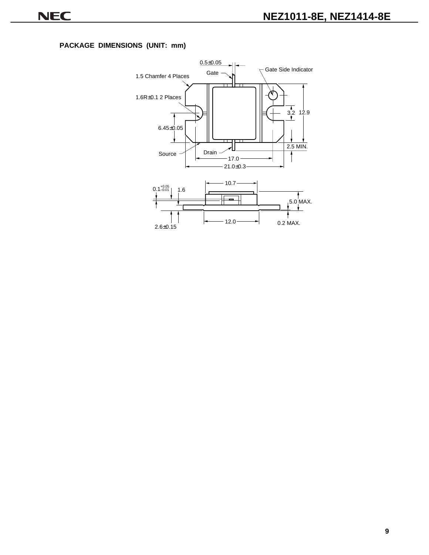#### **PACKAGE DIMENSIONS (UNIT: mm)**

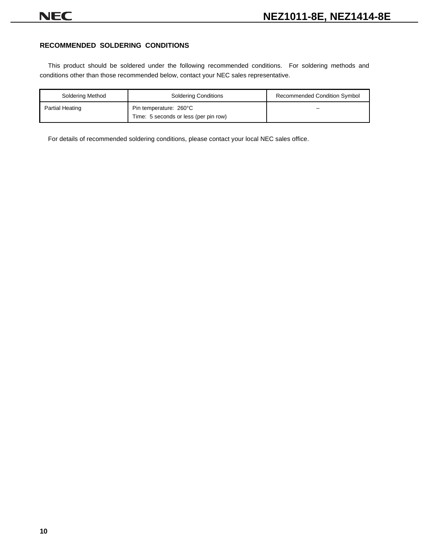#### **RECOMMENDED SOLDERING CONDITIONS**

This product should be soldered under the following recommended conditions. For soldering methods and conditions other than those recommended below, contact your NEC sales representative.

| Soldering Method | <b>Soldering Conditions</b>                                     | <b>Recommended Condition Symbol</b> |
|------------------|-----------------------------------------------------------------|-------------------------------------|
| Partial Heating  | Pin temperature: 260°C<br>Time: 5 seconds or less (per pin row) |                                     |

For details of recommended soldering conditions, please contact your local NEC sales office.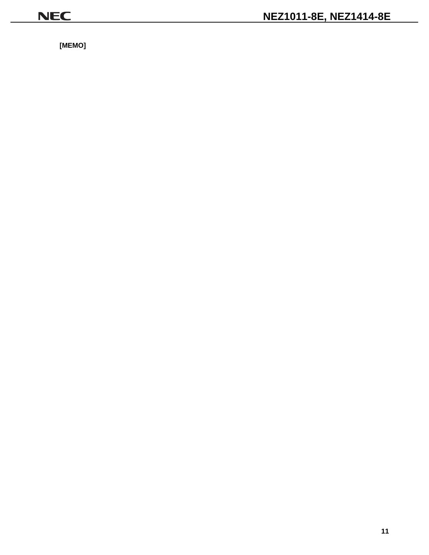**[MEMO]**